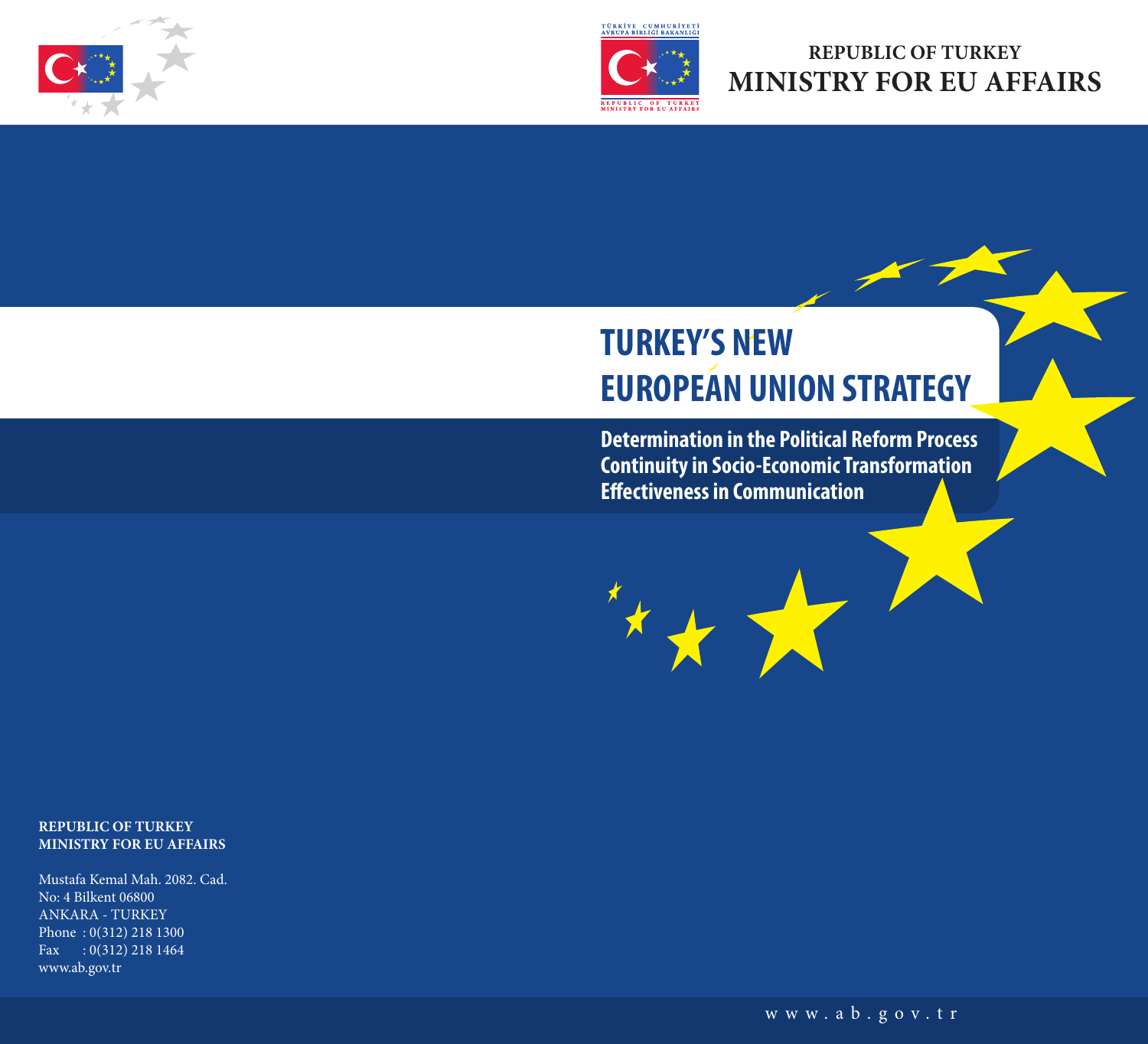

# **REPUBLIC OF TURKEY MINISTRY FOR EU AFFAIRS**

# **TURKEY'S NEW EUROPEAN UNION STRATEGY**

**Determination in the Political Reform Process Continuity in Socio-Economic Transformation Effectiveness in Communication**

www.ab.gov.tr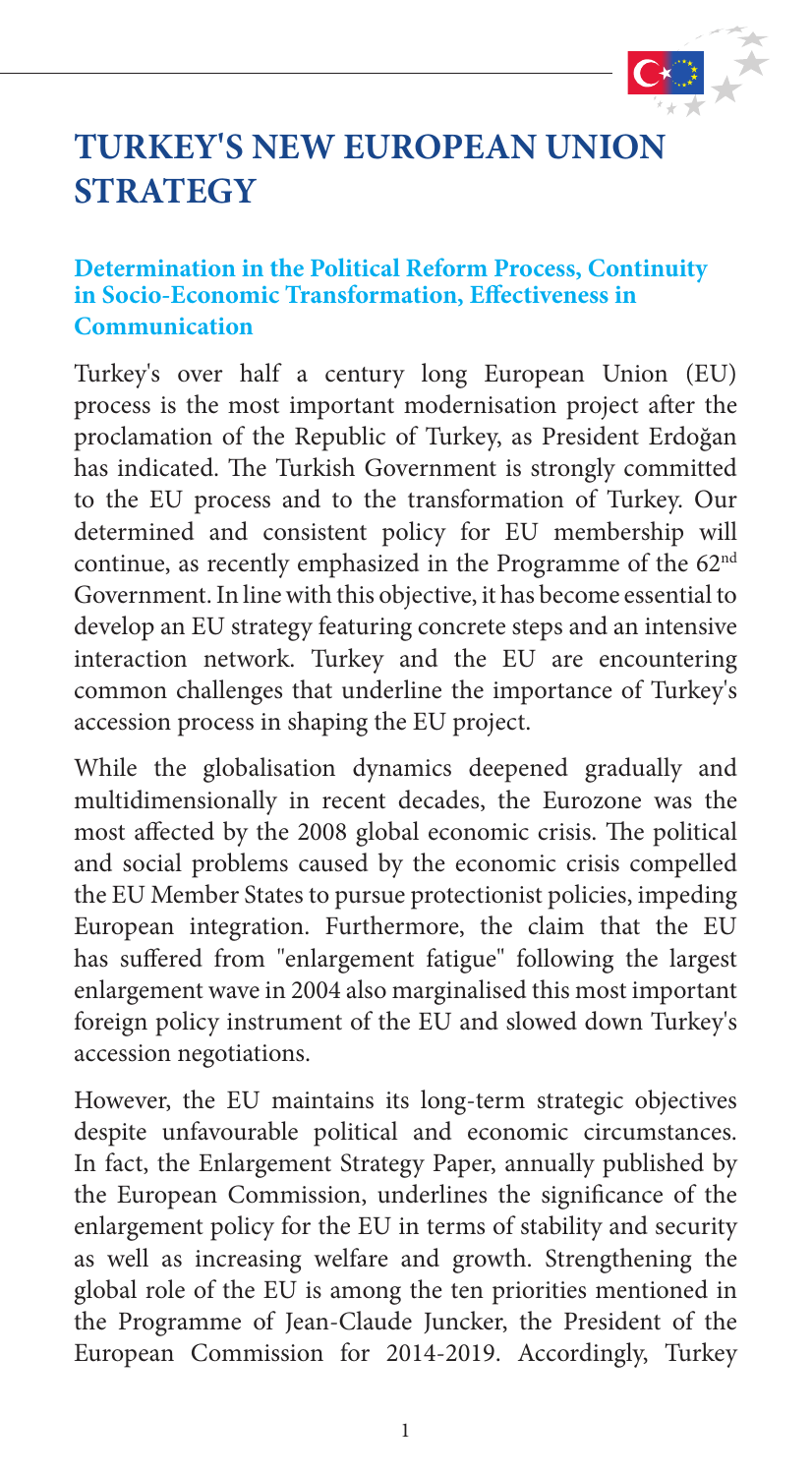

# **TURKEY'S NEW EUROPEAN UNION STRATEGY**

#### **Determination in the Political Reform Process, Continuity in Socio-Economic Transformation, Effectiveness in Communication**

Turkey's over half a century long European Union (EU) process is the most important modernisation project after the proclamation of the Republic of Turkey, as President Erdoğan has indicated. The Turkish Government is strongly committed to the EU process and to the transformation of Turkey. Our determined and consistent policy for EU membership will continue, as recently emphasized in the Programme of the 62nd Government. In line with this objective, it has become essential to develop an EU strategy featuring concrete steps and an intensive interaction network. Turkey and the EU are encountering common challenges that underline the importance of Turkey's accession process in shaping the EU project.

While the globalisation dynamics deepened gradually and multidimensionally in recent decades, the Eurozone was the most affected by the 2008 global economic crisis. The political and social problems caused by the economic crisis compelled the EU Member States to pursue protectionist policies, impeding European integration. Furthermore, the claim that the EU has suffered from "enlargement fatigue" following the largest enlargement wave in 2004 also marginalised this most important foreign policy instrument of the EU and slowed down Turkey's accession negotiations.

However, the EU maintains its long-term strategic objectives despite unfavourable political and economic circumstances. In fact, the Enlargement Strategy Paper, annually published by the European Commission, underlines the significance of the enlargement policy for the EU in terms of stability and security as well as increasing welfare and growth. Strengthening the global role of the EU is among the ten priorities mentioned in the Programme of Jean-Claude Juncker, the President of the European Commission for 2014-2019. Accordingly, Turkey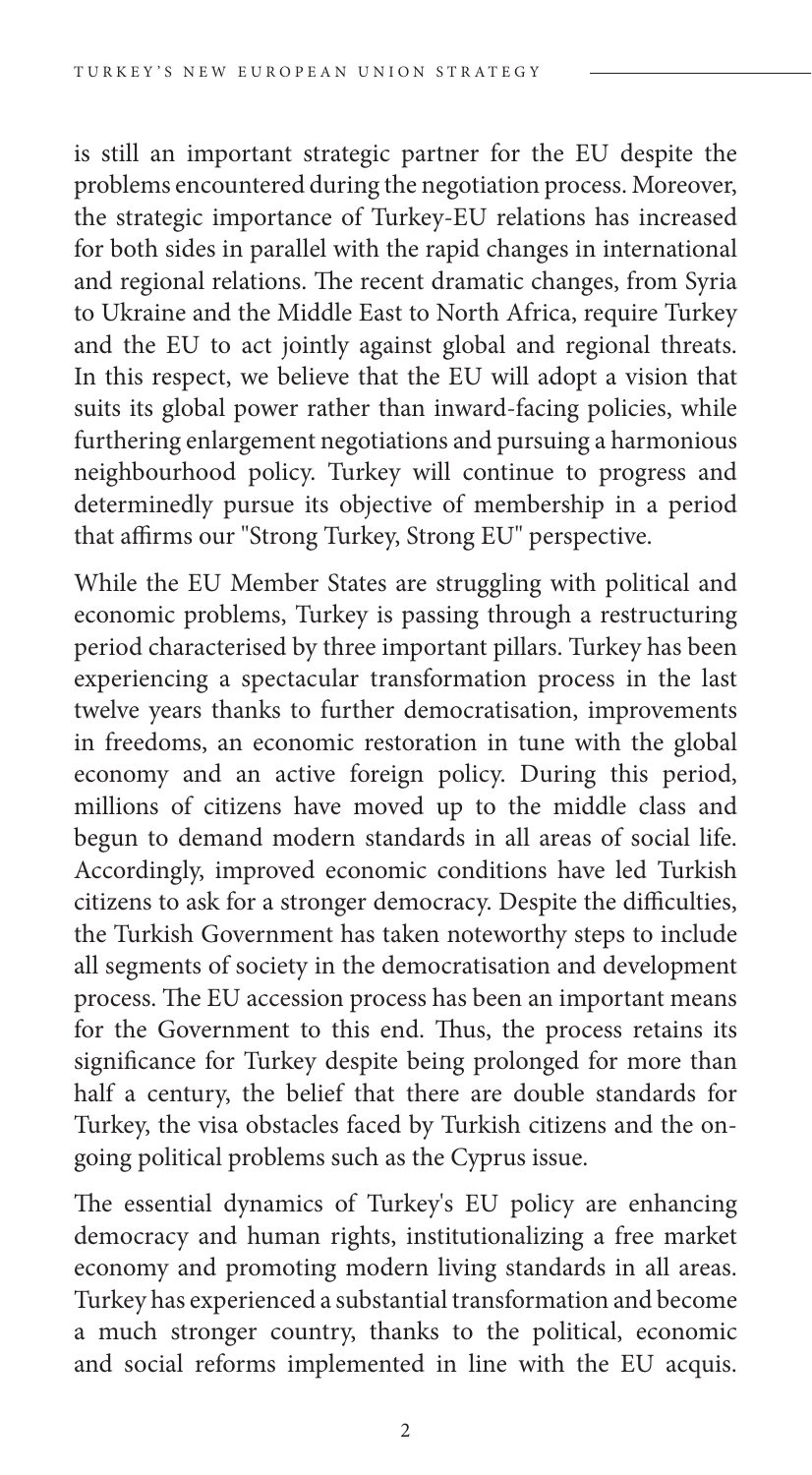is still an important strategic partner for the EU despite the problems encountered during the negotiation process. Moreover, the strategic importance of Turkey-EU relations has increased for both sides in parallel with the rapid changes in international and regional relations. The recent dramatic changes, from Syria to Ukraine and the Middle East to North Africa, require Turkey and the EU to act jointly against global and regional threats. In this respect, we believe that the EU will adopt a vision that suits its global power rather than inward-facing policies, while furthering enlargement negotiations and pursuing a harmonious neighbourhood policy. Turkey will continue to progress and determinedly pursue its objective of membership in a period that affirms our "Strong Turkey, Strong EU" perspective.

While the EU Member States are struggling with political and economic problems, Turkey is passing through a restructuring period characterised by three important pillars. Turkey has been experiencing a spectacular transformation process in the last twelve years thanks to further democratisation, improvements in freedoms, an economic restoration in tune with the global economy and an active foreign policy. During this period, millions of citizens have moved up to the middle class and begun to demand modern standards in all areas of social life. Accordingly, improved economic conditions have led Turkish citizens to ask for a stronger democracy. Despite the difficulties, the Turkish Government has taken noteworthy steps to include all segments of society in the democratisation and development process. The EU accession process has been an important means for the Government to this end. Thus, the process retains its significance for Turkey despite being prolonged for more than half a century, the belief that there are double standards for Turkey, the visa obstacles faced by Turkish citizens and the ongoing political problems such as the Cyprus issue.

The essential dynamics of Turkey's EU policy are enhancing democracy and human rights, institutionalizing a free market economy and promoting modern living standards in all areas. Turkey has experienced a substantial transformation and become a much stronger country, thanks to the political, economic and social reforms implemented in line with the EU acquis.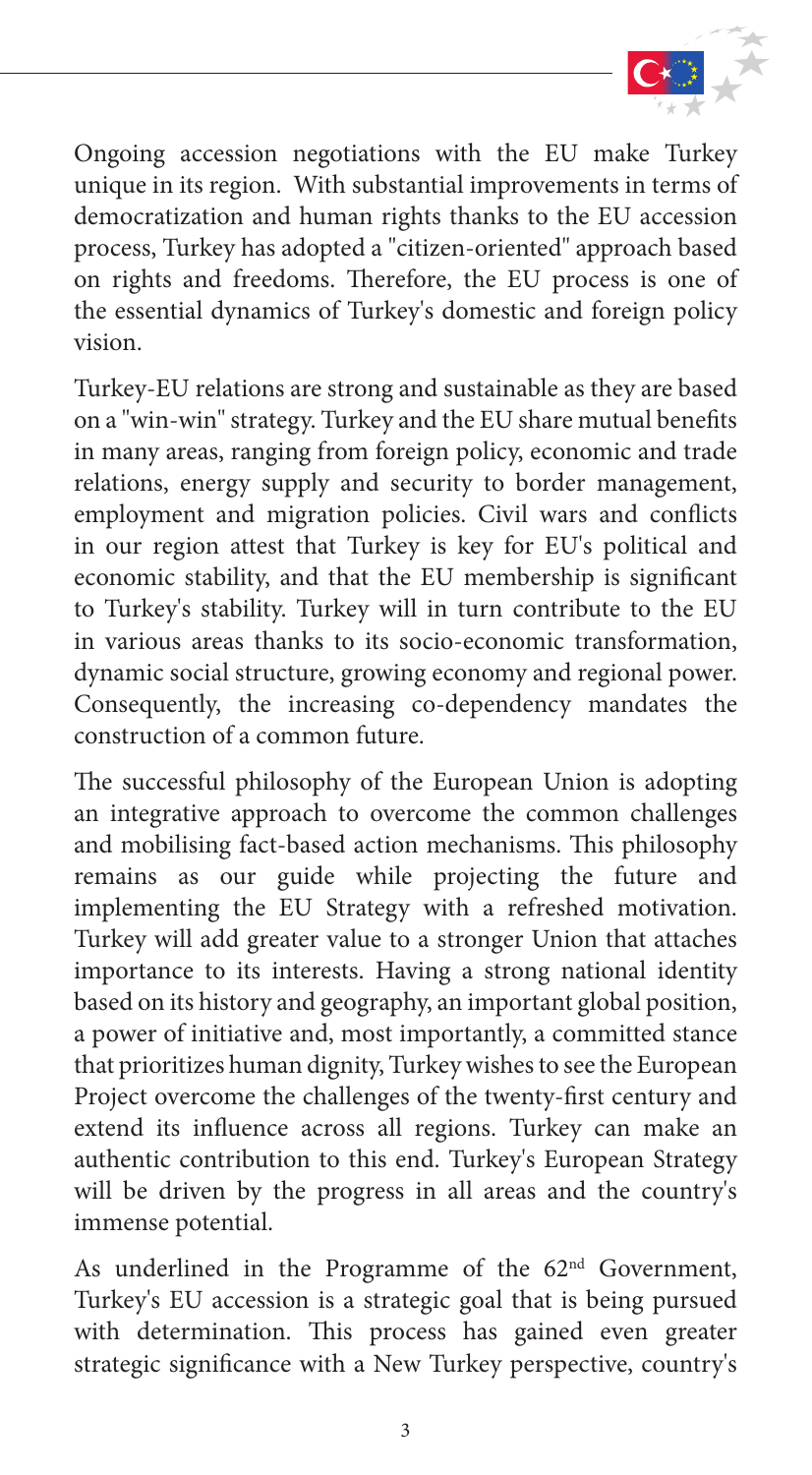

Ongoing accession negotiations with the EU make Turkey unique in its region. With substantial improvements in terms of democratization and human rights thanks to the EU accession process, Turkey has adopted a "citizen-oriented" approach based on rights and freedoms. Therefore, the EU process is one of the essential dynamics of Turkey's domestic and foreign policy vision.

Turkey-EU relations are strong and sustainable as they are based on a "win-win" strategy. Turkey and the EU share mutual benefits in many areas, ranging from foreign policy, economic and trade relations, energy supply and security to border management, employment and migration policies. Civil wars and conflicts in our region attest that Turkey is key for EU's political and economic stability, and that the EU membership is significant to Turkey's stability. Turkey will in turn contribute to the EU in various areas thanks to its socio-economic transformation, dynamic social structure, growing economy and regional power. Consequently, the increasing co-dependency mandates the construction of a common future.

The successful philosophy of the European Union is adopting an integrative approach to overcome the common challenges and mobilising fact-based action mechanisms. This philosophy remains as our guide while projecting the future and implementing the EU Strategy with a refreshed motivation. Turkey will add greater value to a stronger Union that attaches importance to its interests. Having a strong national identity based on its history and geography, an important global position, a power of initiative and, most importantly, a committed stance that prioritizes human dignity, Turkey wishes to see the European Project overcome the challenges of the twenty-first century and extend its influence across all regions. Turkey can make an authentic contribution to this end. Turkey's European Strategy will be driven by the progress in all areas and the country's immense potential.

As underlined in the Programme of the 62<sup>nd</sup> Government, Turkey's EU accession is a strategic goal that is being pursued with determination. This process has gained even greater strategic significance with a New Turkey perspective, country's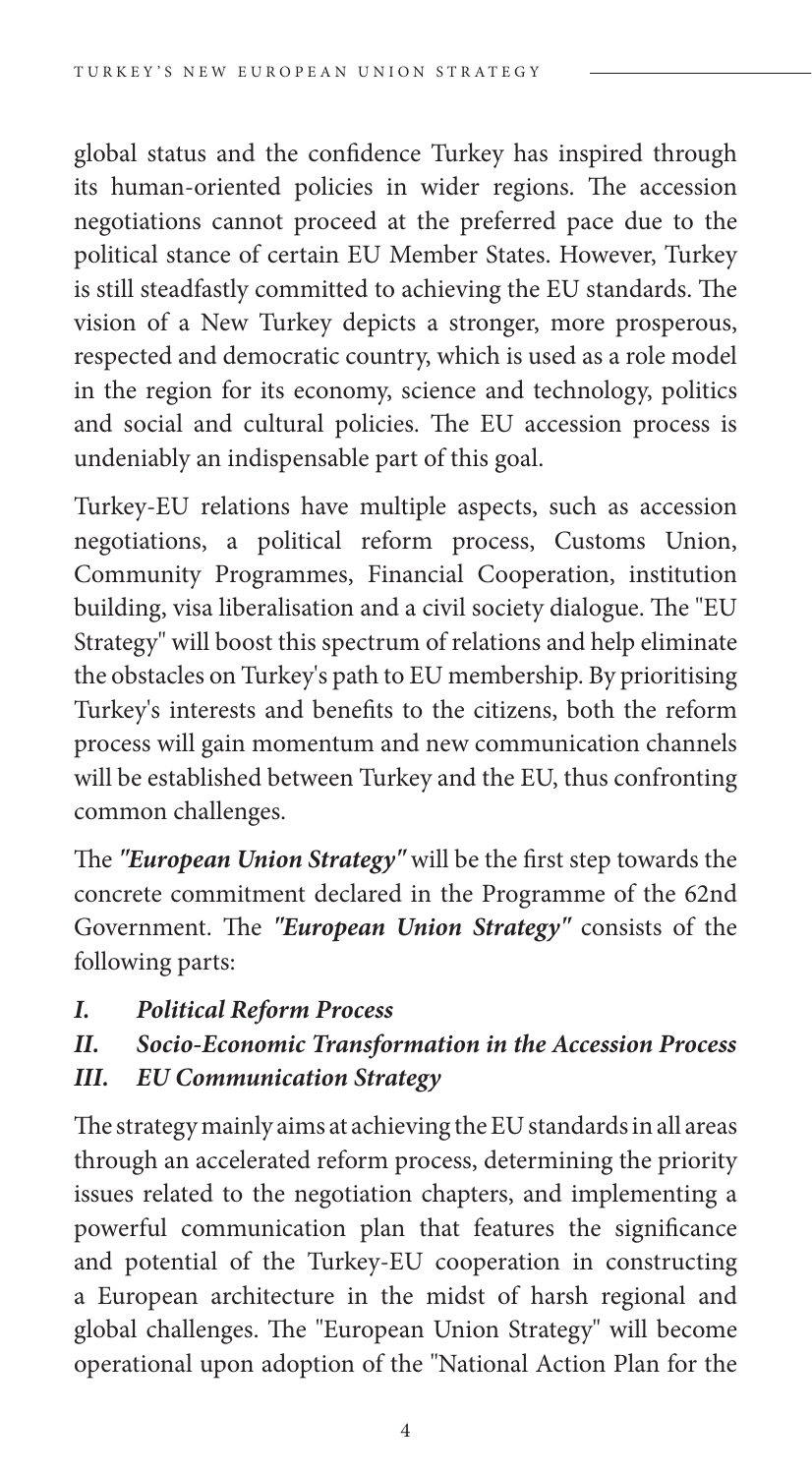global status and the confidence Turkey has inspired through its human-oriented policies in wider regions. The accession negotiations cannot proceed at the preferred pace due to the political stance of certain EU Member States. However, Turkey is still steadfastly committed to achieving the EU standards. The vision of a New Turkey depicts a stronger, more prosperous, respected and democratic country, which is used as a role model in the region for its economy, science and technology, politics and social and cultural policies. The EU accession process is undeniably an indispensable part of this goal.

Turkey-EU relations have multiple aspects, such as accession negotiations, a political reform process, Customs Union, Community Programmes, Financial Cooperation, institution building, visa liberalisation and a civil society dialogue. The "EU Strategy" will boost this spectrum of relations and help eliminate the obstacles on Turkey's path to EU membership. By prioritising Turkey's interests and benefits to the citizens, both the reform process will gain momentum and new communication channels will be established between Turkey and the EU, thus confronting common challenges.

The *"European Union Strategy"* will be the first step towards the concrete commitment declared in the Programme of the 62nd Government. The *"European Union Strategy"* consists of the following parts:

- *I. Political Reform Process*
- *II. Socio-Economic Transformation in the Accession Process*
- *III. EU Communication Strategy*

The strategy mainly aims at achieving the EU standards in all areas through an accelerated reform process, determining the priority issues related to the negotiation chapters, and implementing a powerful communication plan that features the significance and potential of the Turkey-EU cooperation in constructing a European architecture in the midst of harsh regional and global challenges. The "European Union Strategy" will become operational upon adoption of the "National Action Plan for the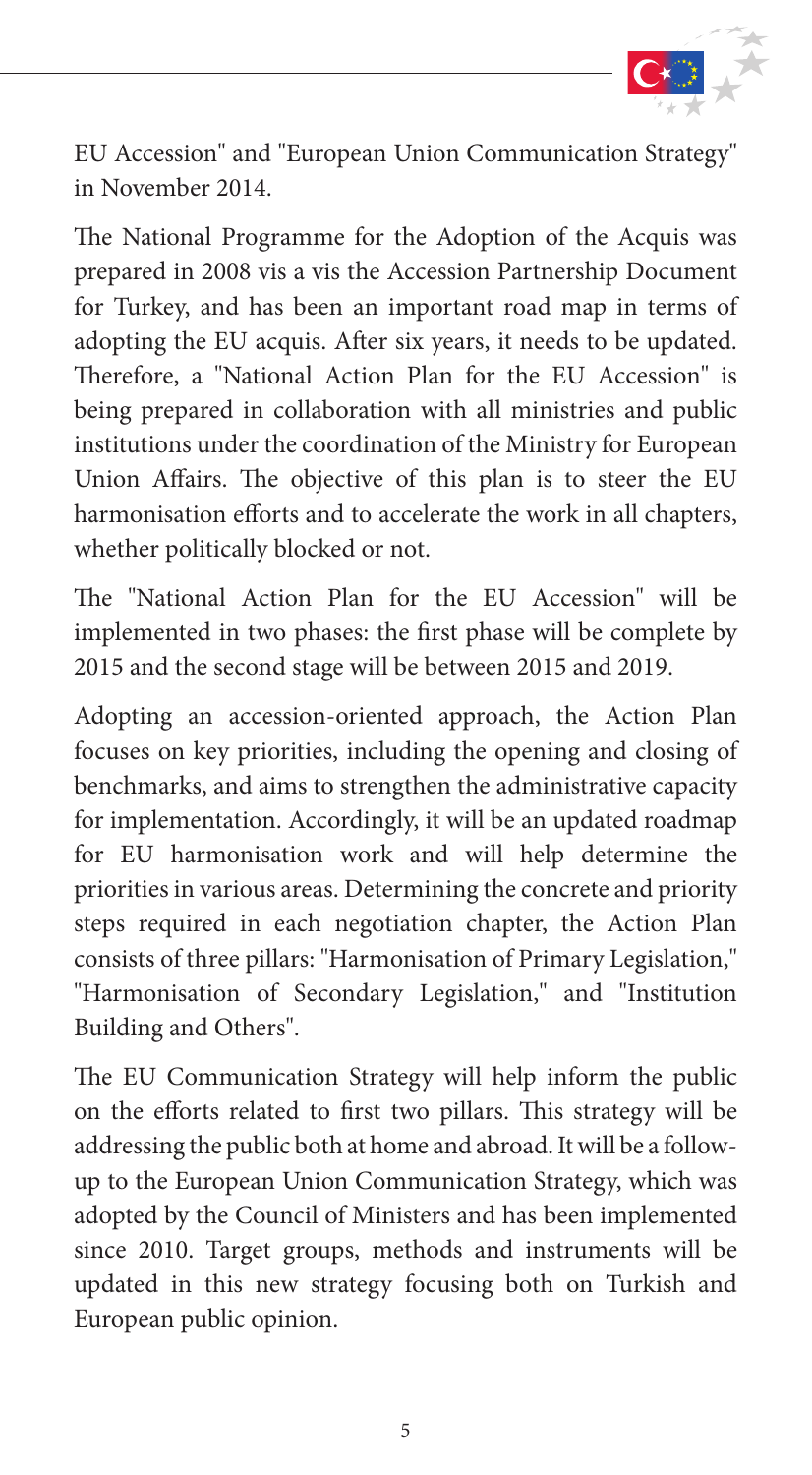

EU Accession" and "European Union Communication Strategy" in November 2014.

The National Programme for the Adoption of the Acquis was prepared in 2008 vis a vis the Accession Partnership Document for Turkey, and has been an important road map in terms of adopting the EU acquis. After six years, it needs to be updated. Therefore, a "National Action Plan for the EU Accession" is being prepared in collaboration with all ministries and public institutions under the coordination of the Ministry for European Union Affairs. The objective of this plan is to steer the EU harmonisation efforts and to accelerate the work in all chapters, whether politically blocked or not.

The "National Action Plan for the EU Accession" will be implemented in two phases: the first phase will be complete by 2015 and the second stage will be between 2015 and 2019.

Adopting an accession-oriented approach, the Action Plan focuses on key priorities, including the opening and closing of benchmarks, and aims to strengthen the administrative capacity for implementation. Accordingly, it will be an updated roadmap for EU harmonisation work and will help determine the priorities in various areas. Determining the concrete and priority steps required in each negotiation chapter, the Action Plan consists of three pillars: "Harmonisation of Primary Legislation," "Harmonisation of Secondary Legislation," and "Institution Building and Others".

The EU Communication Strategy will help inform the public on the efforts related to first two pillars. This strategy will be addressing the public both at home and abroad. It will be a followup to the European Union Communication Strategy, which was adopted by the Council of Ministers and has been implemented since 2010. Target groups, methods and instruments will be updated in this new strategy focusing both on Turkish and European public opinion.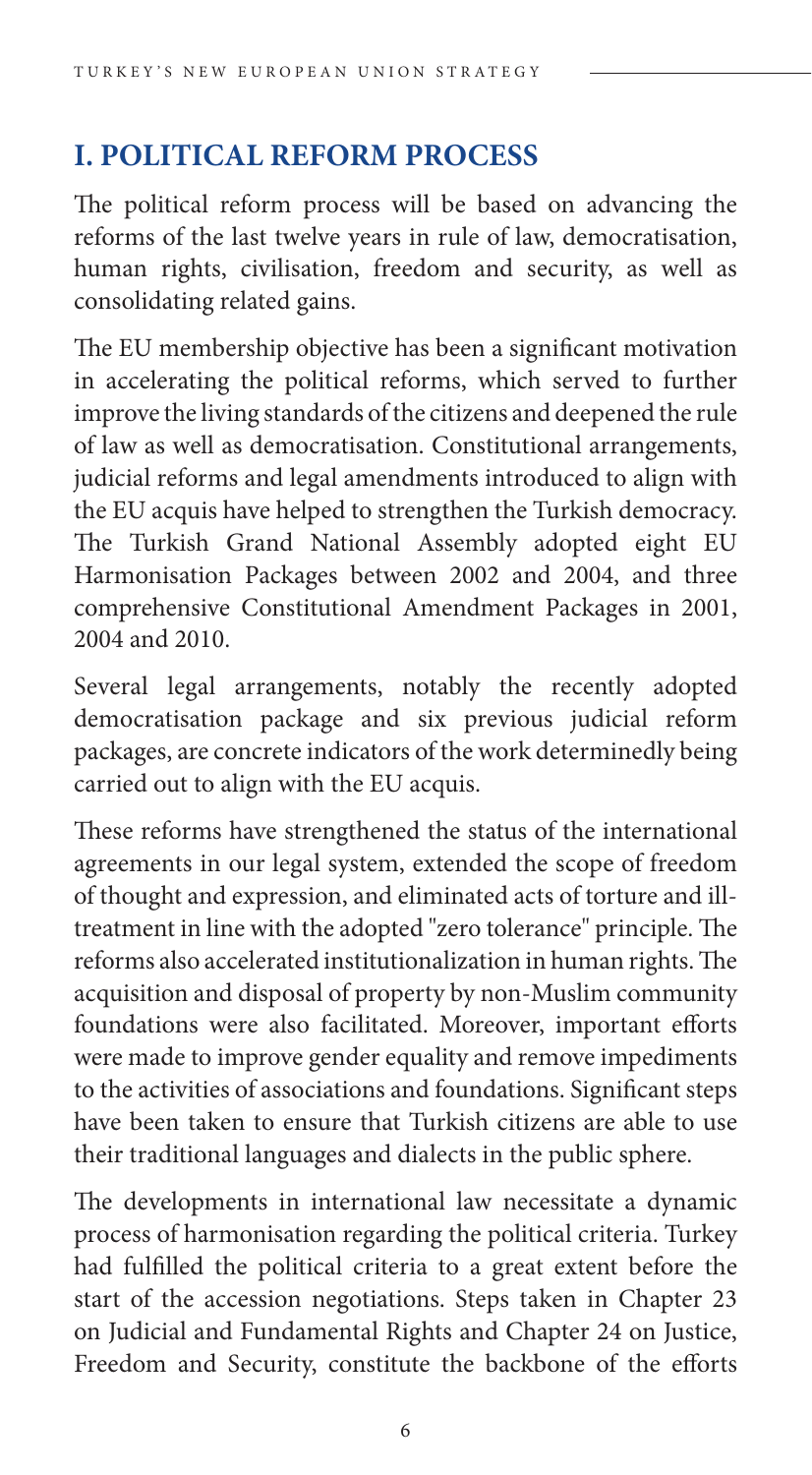# **I. POLITICAL REFORM PROCESS**

The political reform process will be based on advancing the reforms of the last twelve years in rule of law, democratisation, human rights, civilisation, freedom and security, as well as consolidating related gains.

The EU membership objective has been a significant motivation in accelerating the political reforms, which served to further improve the living standards of the citizens and deepened the rule of law as well as democratisation. Constitutional arrangements, judicial reforms and legal amendments introduced to align with the EU acquis have helped to strengthen the Turkish democracy. The Turkish Grand National Assembly adopted eight EU Harmonisation Packages between 2002 and 2004, and three comprehensive Constitutional Amendment Packages in 2001, 2004 and 2010.

Several legal arrangements, notably the recently adopted democratisation package and six previous judicial reform packages, are concrete indicators of the work determinedly being carried out to align with the EU acquis.

These reforms have strengthened the status of the international agreements in our legal system, extended the scope of freedom of thought and expression, and eliminated acts of torture and illtreatment in line with the adopted "zero tolerance" principle. The reforms also accelerated institutionalization in human rights. The acquisition and disposal of property by non-Muslim community foundations were also facilitated. Moreover, important efforts were made to improve gender equality and remove impediments to the activities of associations and foundations. Significant steps have been taken to ensure that Turkish citizens are able to use their traditional languages and dialects in the public sphere.

The developments in international law necessitate a dynamic process of harmonisation regarding the political criteria. Turkey had fulfilled the political criteria to a great extent before the start of the accession negotiations. Steps taken in Chapter 23 on Judicial and Fundamental Rights and Chapter 24 on Justice, Freedom and Security, constitute the backbone of the efforts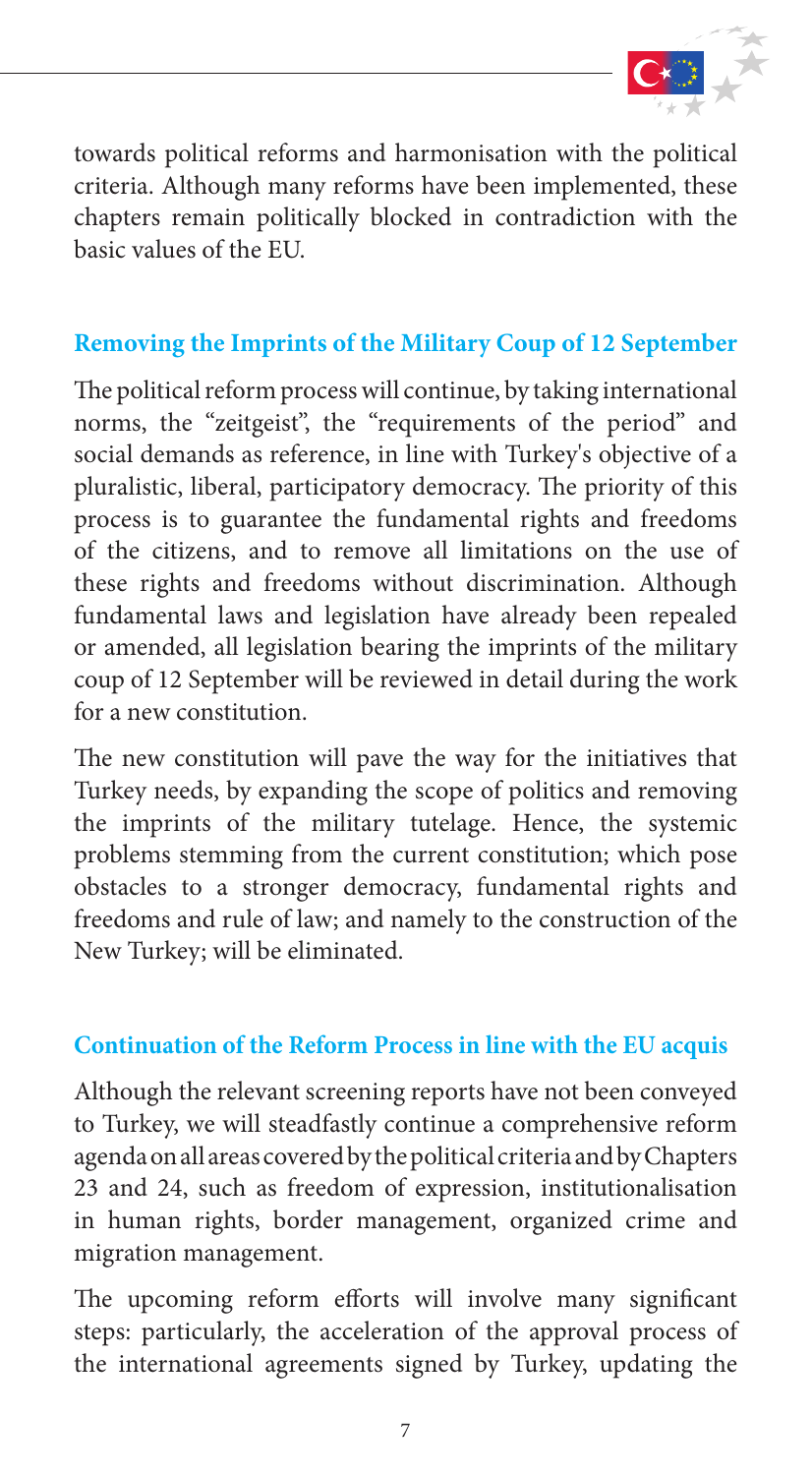

towards political reforms and harmonisation with the political criteria. Although many reforms have been implemented, these chapters remain politically blocked in contradiction with the basic values of the EU.

### **Removing the Imprints of the Military Coup of 12 September**

The political reform process will continue, by taking international norms, the "zeitgeist", the "requirements of the period" and social demands as reference, in line with Turkey's objective of a pluralistic, liberal, participatory democracy. The priority of this process is to guarantee the fundamental rights and freedoms of the citizens, and to remove all limitations on the use of these rights and freedoms without discrimination. Although fundamental laws and legislation have already been repealed or amended, all legislation bearing the imprints of the military coup of 12 September will be reviewed in detail during the work for a new constitution.

The new constitution will pave the way for the initiatives that Turkey needs, by expanding the scope of politics and removing the imprints of the military tutelage. Hence, the systemic problems stemming from the current constitution; which pose obstacles to a stronger democracy, fundamental rights and freedoms and rule of law; and namely to the construction of the New Turkey; will be eliminated.

#### **Continuation of the Reform Process in line with the EU acquis**

Although the relevant screening reports have not been conveyed to Turkey, we will steadfastly continue a comprehensive reform agenda on all areas covered by the political criteria and by Chapters 23 and 24, such as freedom of expression, institutionalisation in human rights, border management, organized crime and migration management.

The upcoming reform efforts will involve many significant steps: particularly, the acceleration of the approval process of the international agreements signed by Turkey, updating the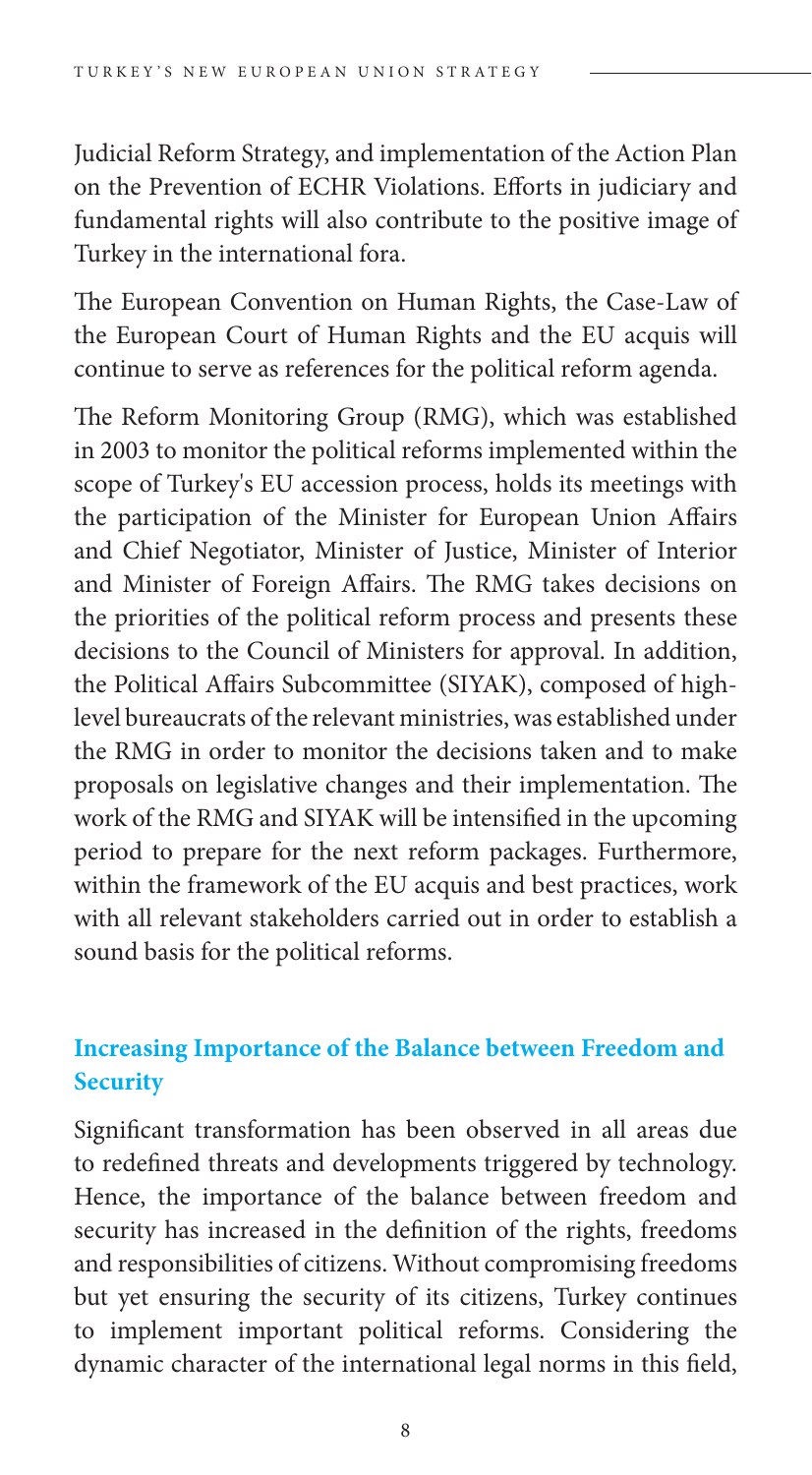Judicial Reform Strategy, and implementation of the Action Plan on the Prevention of ECHR Violations. Efforts in judiciary and fundamental rights will also contribute to the positive image of Turkey in the international fora.

The European Convention on Human Rights, the Case-Law of the European Court of Human Rights and the EU acquis will continue to serve as references for the political reform agenda.

The Reform Monitoring Group (RMG), which was established in 2003 to monitor the political reforms implemented within the scope of Turkey's EU accession process, holds its meetings with the participation of the Minister for European Union Affairs and Chief Negotiator, Minister of Justice, Minister of Interior and Minister of Foreign Affairs. The RMG takes decisions on the priorities of the political reform process and presents these decisions to the Council of Ministers for approval. In addition, the Political Affairs Subcommittee (SIYAK), composed of highlevel bureaucrats of the relevant ministries, was established under the RMG in order to monitor the decisions taken and to make proposals on legislative changes and their implementation. The work of the RMG and SIYAK will be intensified in the upcoming period to prepare for the next reform packages. Furthermore, within the framework of the EU acquis and best practices, work with all relevant stakeholders carried out in order to establish a sound basis for the political reforms.

## **Increasing Importance of the Balance between Freedom and Security**

Significant transformation has been observed in all areas due to redefined threats and developments triggered by technology. Hence, the importance of the balance between freedom and security has increased in the definition of the rights, freedoms and responsibilities of citizens. Without compromising freedoms but yet ensuring the security of its citizens, Turkey continues to implement important political reforms. Considering the dynamic character of the international legal norms in this field,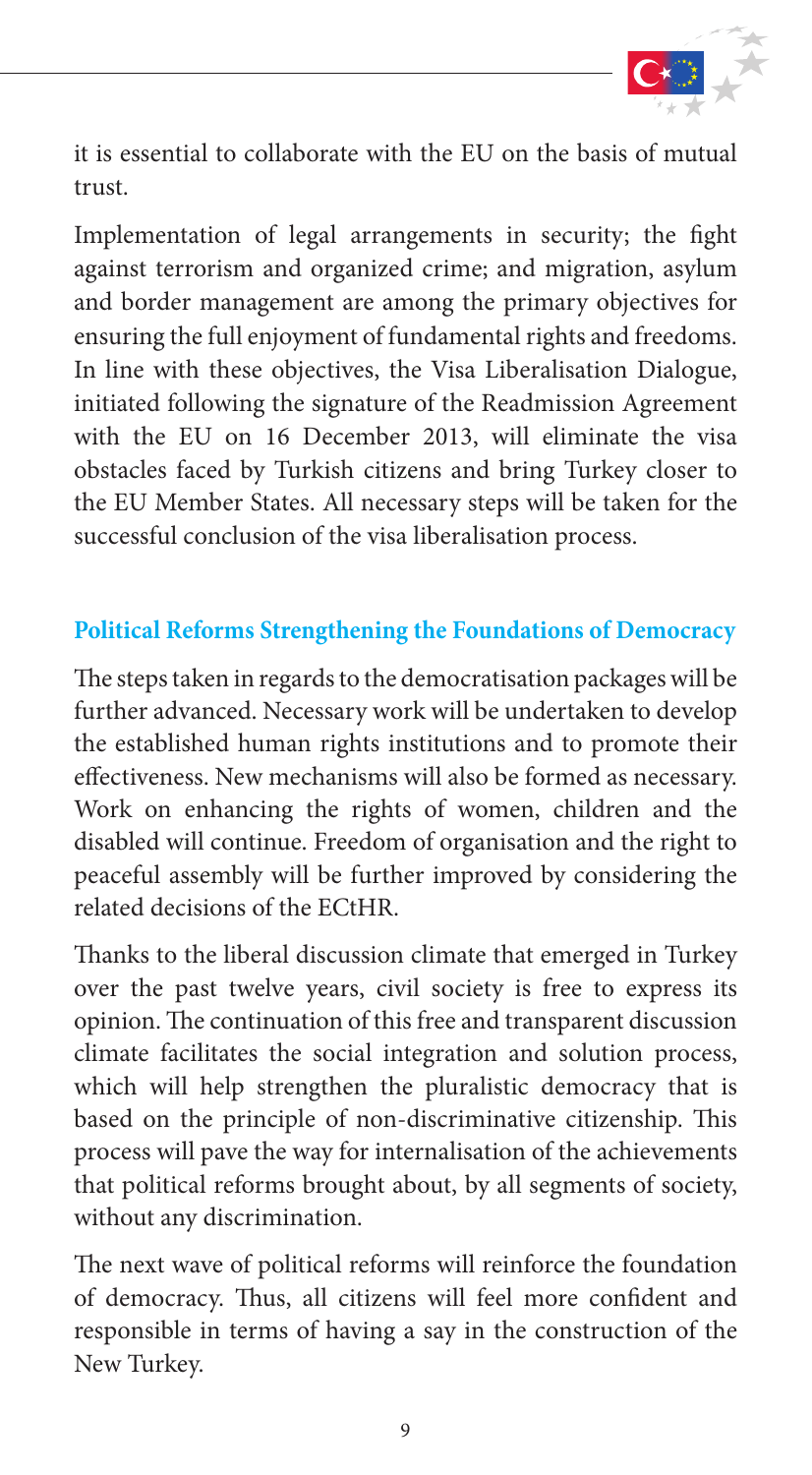

it is essential to collaborate with the EU on the basis of mutual trust.

Implementation of legal arrangements in security; the fight against terrorism and organized crime; and migration, asylum and border management are among the primary objectives for ensuring the full enjoyment of fundamental rights and freedoms. In line with these objectives, the Visa Liberalisation Dialogue, initiated following the signature of the Readmission Agreement with the EU on 16 December 2013, will eliminate the visa obstacles faced by Turkish citizens and bring Turkey closer to the EU Member States. All necessary steps will be taken for the successful conclusion of the visa liberalisation process.

#### **Political Reforms Strengthening the Foundations of Democracy**

The steps taken in regards to the democratisation packages will be further advanced. Necessary work will be undertaken to develop the established human rights institutions and to promote their effectiveness. New mechanisms will also be formed as necessary. Work on enhancing the rights of women, children and the disabled will continue. Freedom of organisation and the right to peaceful assembly will be further improved by considering the related decisions of the ECtHR.

Thanks to the liberal discussion climate that emerged in Turkey over the past twelve years, civil society is free to express its opinion. The continuation of this free and transparent discussion climate facilitates the social integration and solution process, which will help strengthen the pluralistic democracy that is based on the principle of non-discriminative citizenship. This process will pave the way for internalisation of the achievements that political reforms brought about, by all segments of society, without any discrimination.

The next wave of political reforms will reinforce the foundation of democracy. Thus, all citizens will feel more confident and responsible in terms of having a say in the construction of the New Turkey.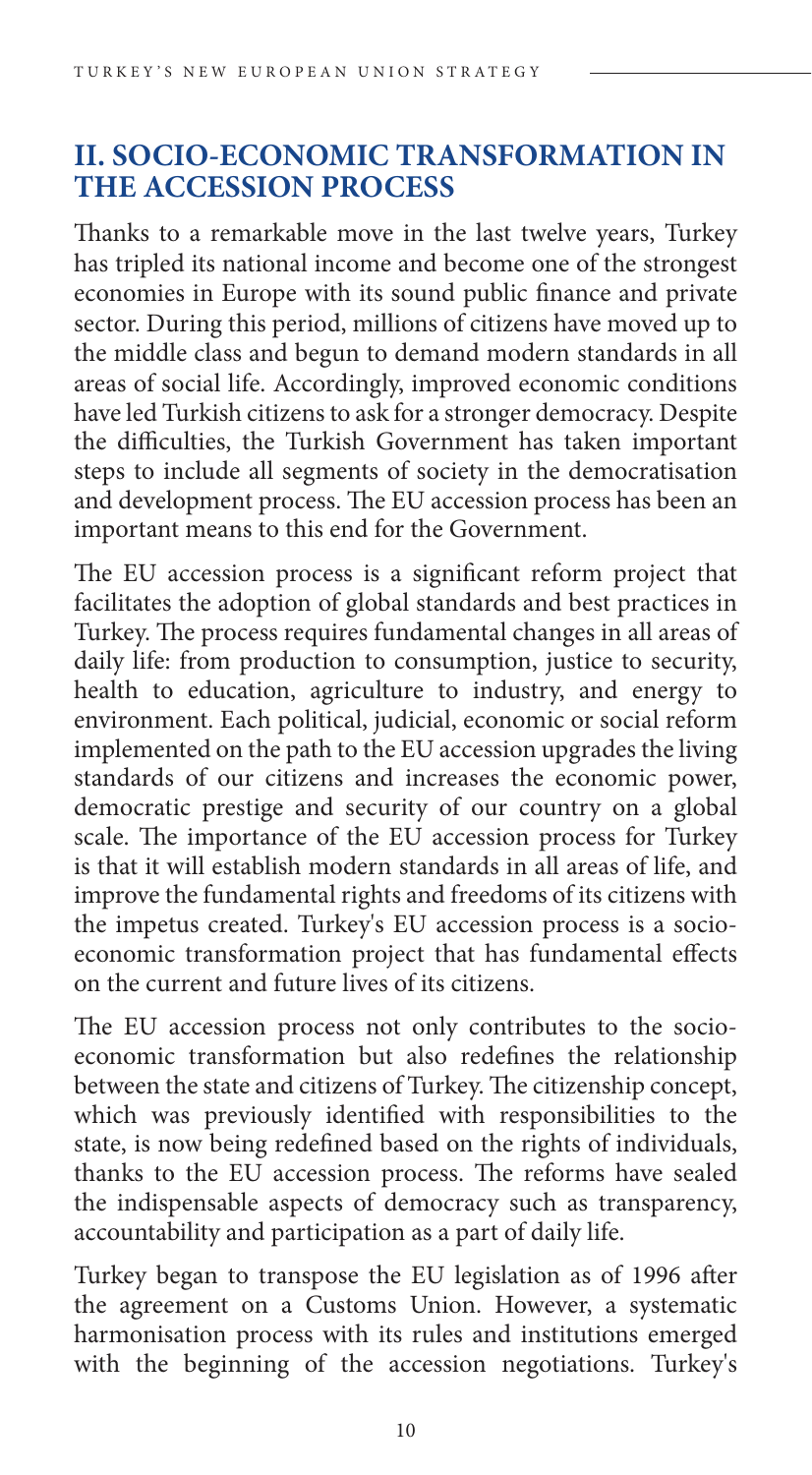## **II. SOCIO-ECONOMIC TRANSFORMATION IN THE ACCESSION PROCESS**

Thanks to a remarkable move in the last twelve years, Turkey has tripled its national income and become one of the strongest economies in Europe with its sound public finance and private sector. During this period, millions of citizens have moved up to the middle class and begun to demand modern standards in all areas of social life. Accordingly, improved economic conditions have led Turkish citizens to ask for a stronger democracy. Despite the difficulties, the Turkish Government has taken important steps to include all segments of society in the democratisation and development process. The EU accession process has been an important means to this end for the Government.

The EU accession process is a significant reform project that facilitates the adoption of global standards and best practices in Turkey. The process requires fundamental changes in all areas of daily life: from production to consumption, justice to security, health to education, agriculture to industry, and energy to environment. Each political, judicial, economic or social reform implemented on the path to the EU accession upgrades the living standards of our citizens and increases the economic power, democratic prestige and security of our country on a global scale. The importance of the EU accession process for Turkey is that it will establish modern standards in all areas of life, and improve the fundamental rights and freedoms of its citizens with the impetus created. Turkey's EU accession process is a socioeconomic transformation project that has fundamental effects on the current and future lives of its citizens.

The EU accession process not only contributes to the socioeconomic transformation but also redefines the relationship between the state and citizens of Turkey. The citizenship concept, which was previously identified with responsibilities to the state, is now being redefined based on the rights of individuals, thanks to the EU accession process. The reforms have sealed the indispensable aspects of democracy such as transparency, accountability and participation as a part of daily life.

Turkey began to transpose the EU legislation as of 1996 after the agreement on a Customs Union. However, a systematic harmonisation process with its rules and institutions emerged with the beginning of the accession negotiations. Turkey's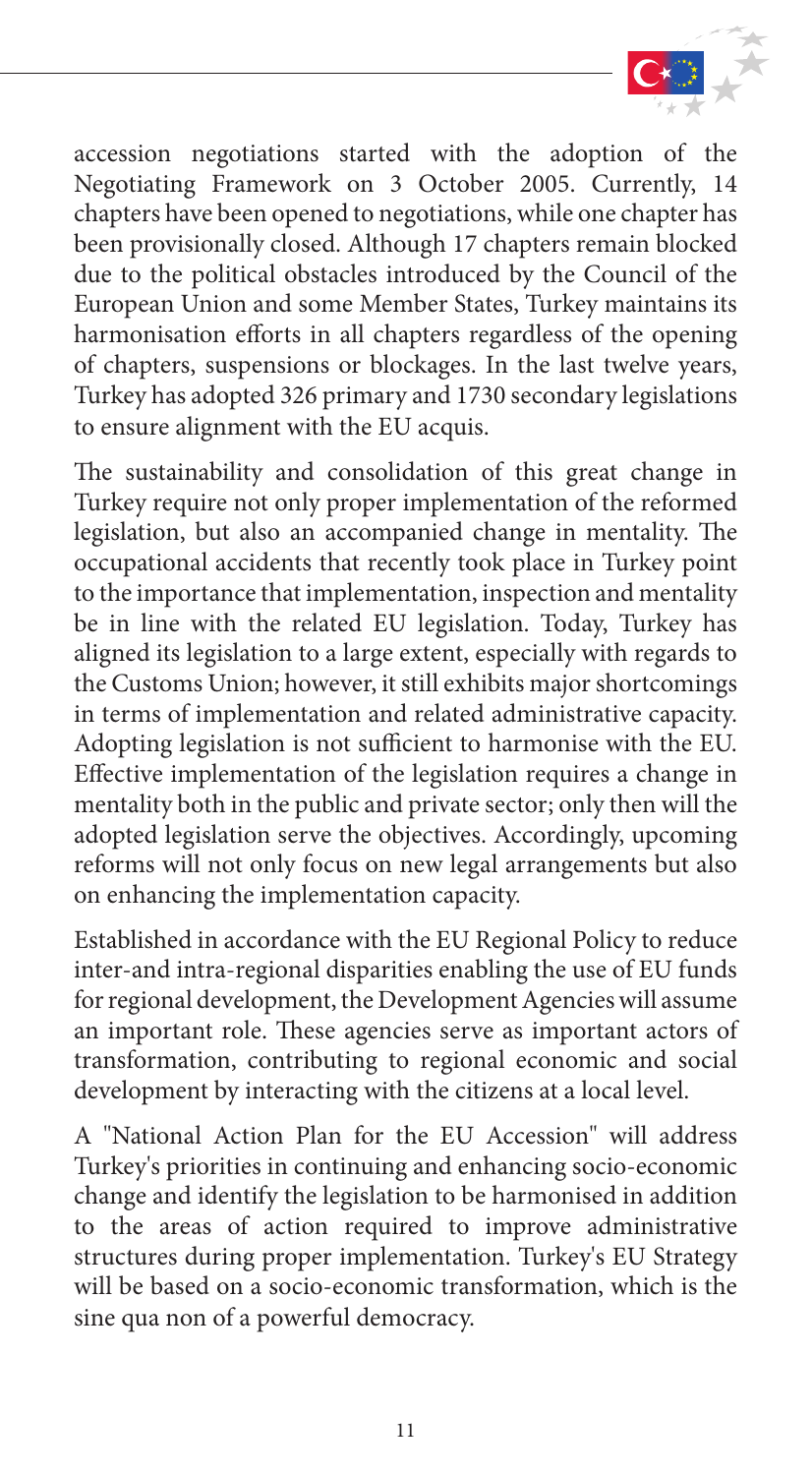

accession negotiations started with the adoption of the Negotiating Framework on 3 October 2005. Currently, 14 chapters have been opened to negotiations, while one chapter has been provisionally closed. Although 17 chapters remain blocked due to the political obstacles introduced by the Council of the European Union and some Member States, Turkey maintains its harmonisation efforts in all chapters regardless of the opening of chapters, suspensions or blockages. In the last twelve years, Turkey has adopted 326 primary and 1730 secondary legislations to ensure alignment with the EU acquis.

The sustainability and consolidation of this great change in Turkey require not only proper implementation of the reformed legislation, but also an accompanied change in mentality. The occupational accidents that recently took place in Turkey point to the importance that implementation, inspection and mentality be in line with the related EU legislation. Today, Turkey has aligned its legislation to a large extent, especially with regards to the Customs Union; however, it still exhibits major shortcomings in terms of implementation and related administrative capacity. Adopting legislation is not sufficient to harmonise with the EU. Effective implementation of the legislation requires a change in mentality both in the public and private sector; only then will the adopted legislation serve the objectives. Accordingly, upcoming reforms will not only focus on new legal arrangements but also on enhancing the implementation capacity.

Established in accordance with the EU Regional Policy to reduce inter-and intra-regional disparities enabling the use of EU funds for regional development, the Development Agencies will assume an important role. These agencies serve as important actors of transformation, contributing to regional economic and social development by interacting with the citizens at a local level.

A "National Action Plan for the EU Accession" will address Turkey's priorities in continuing and enhancing socio-economic change and identify the legislation to be harmonised in addition to the areas of action required to improve administrative structures during proper implementation. Turkey's EU Strategy will be based on a socio-economic transformation, which is the sine qua non of a powerful democracy.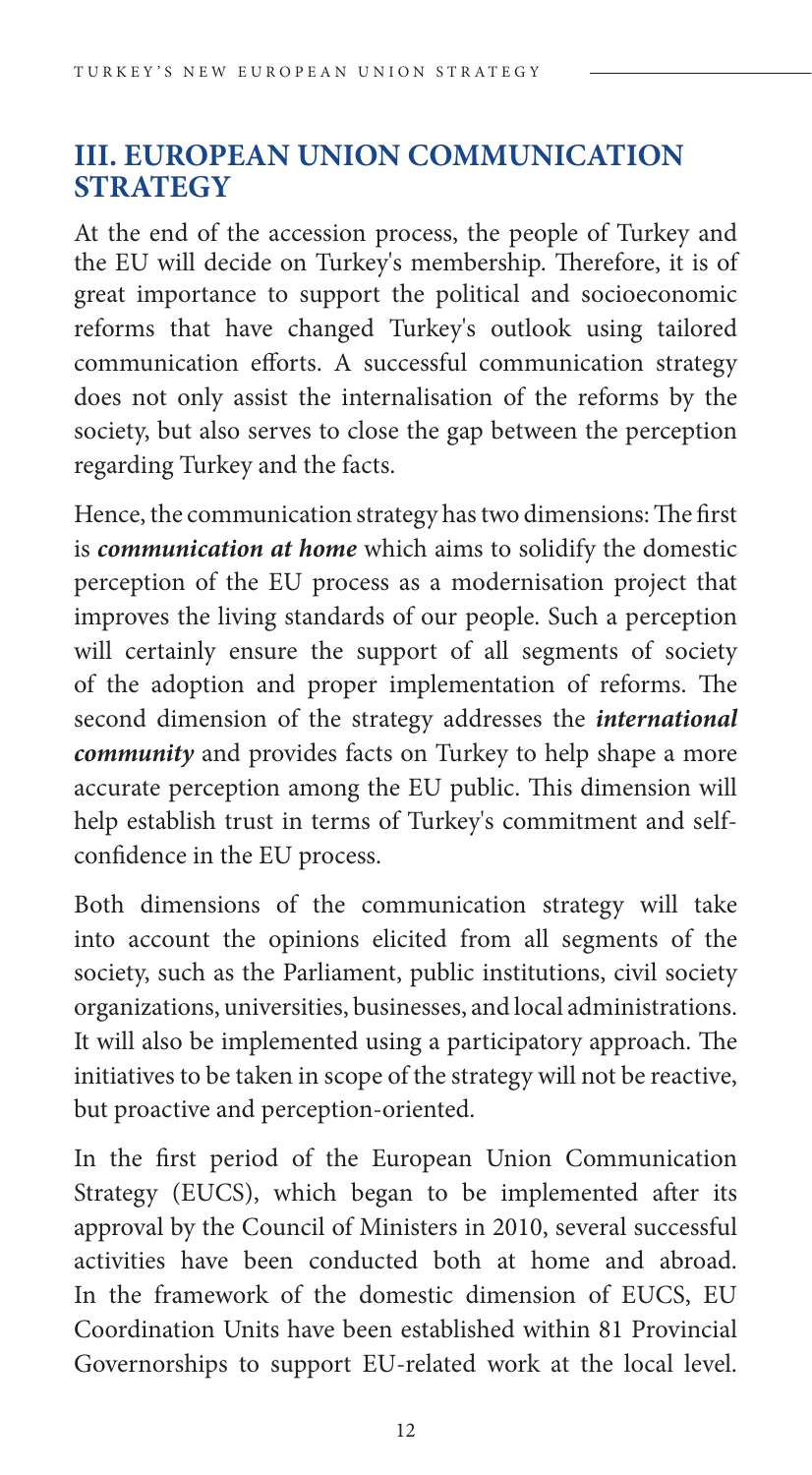## **III. EUROPEAN UNION COMMUNICATION STRATEGY**

At the end of the accession process, the people of Turkey and the EU will decide on Turkey's membership. Therefore, it is of great importance to support the political and socioeconomic reforms that have changed Turkey's outlook using tailored communication efforts. A successful communication strategy does not only assist the internalisation of the reforms by the society, but also serves to close the gap between the perception regarding Turkey and the facts.

Hence, the communication strategy has two dimensions: The first is *communication at home* which aims to solidify the domestic perception of the EU process as a modernisation project that improves the living standards of our people. Such a perception will certainly ensure the support of all segments of society of the adoption and proper implementation of reforms. The second dimension of the strategy addresses the *international community* and provides facts on Turkey to help shape a more accurate perception among the EU public. This dimension will help establish trust in terms of Turkey's commitment and selfconfidence in the EU process.

Both dimensions of the communication strategy will take into account the opinions elicited from all segments of the society, such as the Parliament, public institutions, civil society organizations, universities, businesses, and local administrations. It will also be implemented using a participatory approach. The initiatives to be taken in scope of the strategy will not be reactive, but proactive and perception-oriented.

In the first period of the European Union Communication Strategy (EUCS), which began to be implemented after its approval by the Council of Ministers in 2010, several successful activities have been conducted both at home and abroad. In the framework of the domestic dimension of EUCS, EU Coordination Units have been established within 81 Provincial Governorships to support EU-related work at the local level.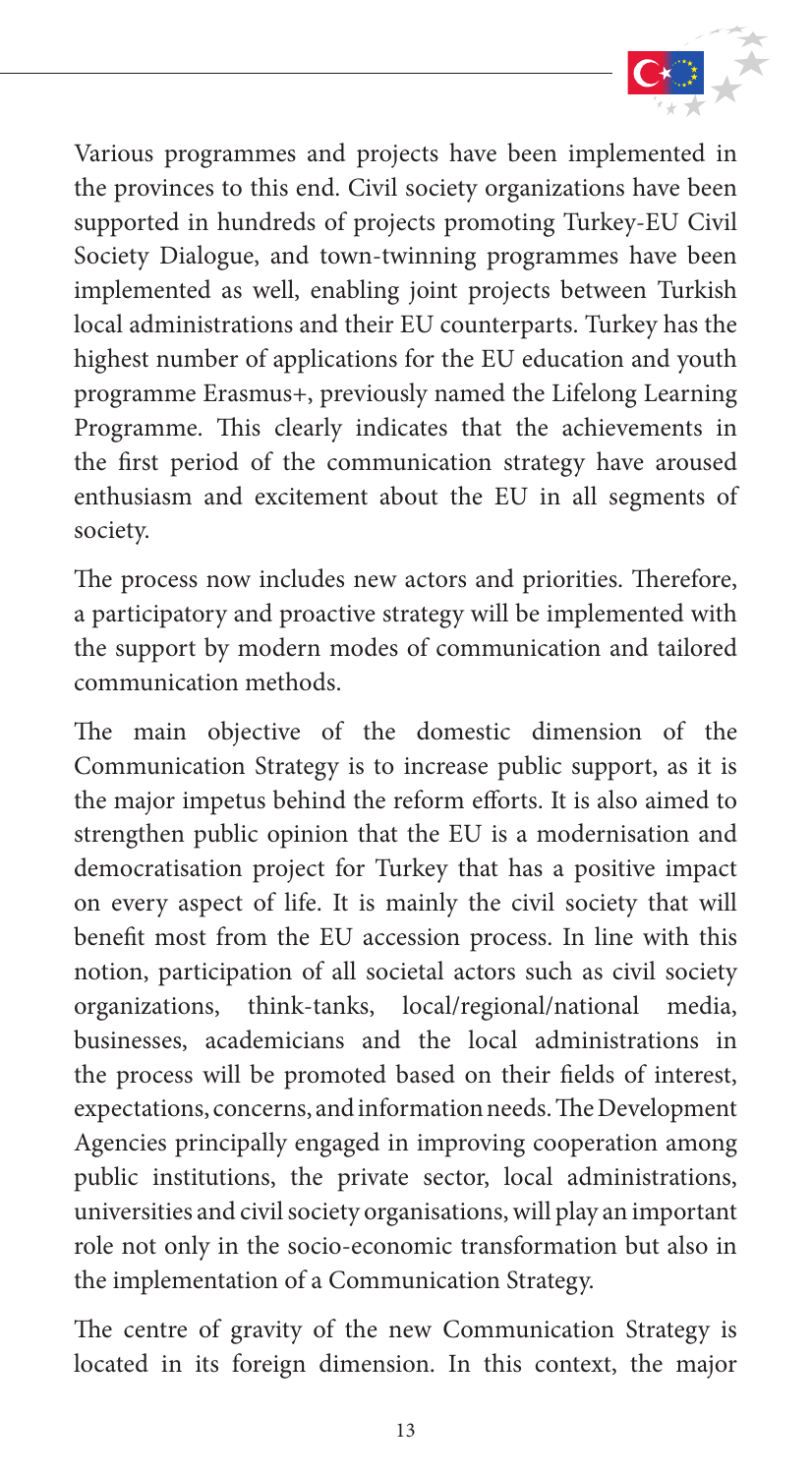

Various programmes and projects have been implemented in the provinces to this end. Civil society organizations have been supported in hundreds of projects promoting Turkey-EU Civil Society Dialogue, and town-twinning programmes have been implemented as well, enabling joint projects between Turkish local administrations and their EU counterparts. Turkey has the highest number of applications for the EU education and youth programme Erasmus+, previously named the Lifelong Learning Programme. This clearly indicates that the achievements in the first period of the communication strategy have aroused enthusiasm and excitement about the EU in all segments of society.

The process now includes new actors and priorities. Therefore, a participatory and proactive strategy will be implemented with the support by modern modes of communication and tailored communication methods.

The main objective of the domestic dimension of the Communication Strategy is to increase public support, as it is the major impetus behind the reform efforts. It is also aimed to strengthen public opinion that the EU is a modernisation and democratisation project for Turkey that has a positive impact on every aspect of life. It is mainly the civil society that will benefit most from the EU accession process. In line with this notion, participation of all societal actors such as civil society organizations, think-tanks, local/regional/national media, businesses, academicians and the local administrations in the process will be promoted based on their fields of interest, expectations, concerns, and information needs. The Development Agencies principally engaged in improving cooperation among public institutions, the private sector, local administrations, universities and civil society organisations, will play an important role not only in the socio-economic transformation but also in the implementation of a Communication Strategy.

The centre of gravity of the new Communication Strategy is located in its foreign dimension. In this context, the major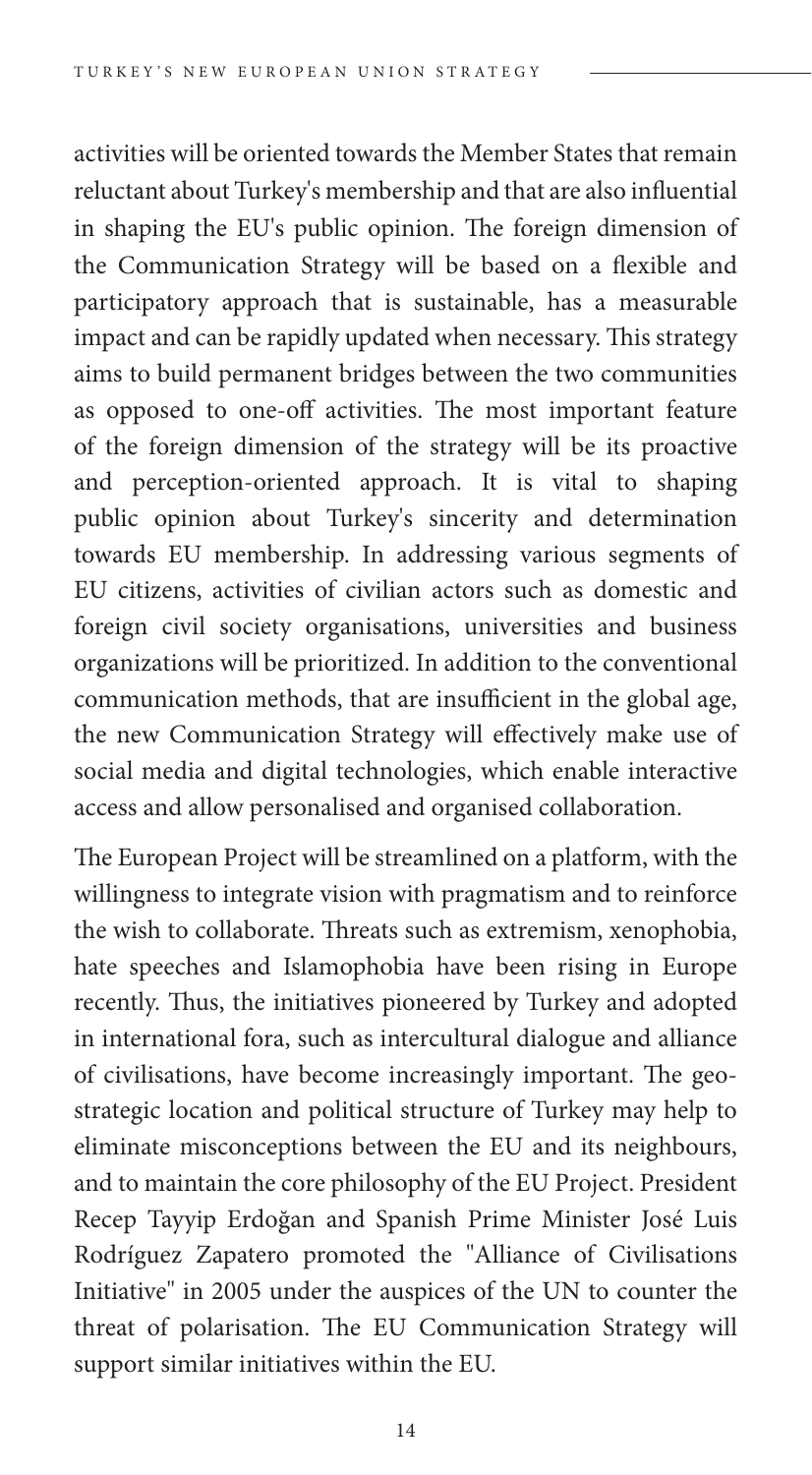activities will be oriented towards the Member States that remain reluctant about Turkey's membership and that are also influential in shaping the EU's public opinion. The foreign dimension of the Communication Strategy will be based on a flexible and participatory approach that is sustainable, has a measurable impact and can be rapidly updated when necessary. This strategy aims to build permanent bridges between the two communities as opposed to one-off activities. The most important feature of the foreign dimension of the strategy will be its proactive and perception-oriented approach. It is vital to shaping public opinion about Turkey's sincerity and determination towards EU membership. In addressing various segments of EU citizens, activities of civilian actors such as domestic and foreign civil society organisations, universities and business organizations will be prioritized. In addition to the conventional communication methods, that are insufficient in the global age, the new Communication Strategy will effectively make use of social media and digital technologies, which enable interactive access and allow personalised and organised collaboration.

The European Project will be streamlined on a platform, with the willingness to integrate vision with pragmatism and to reinforce the wish to collaborate. Threats such as extremism, xenophobia, hate speeches and Islamophobia have been rising in Europe recently. Thus, the initiatives pioneered by Turkey and adopted in international fora, such as intercultural dialogue and alliance of civilisations, have become increasingly important. The geostrategic location and political structure of Turkey may help to eliminate misconceptions between the EU and its neighbours, and to maintain the core philosophy of the EU Project. President Recep Tayyip Erdoğan and Spanish Prime Minister José Luis Rodríguez Zapatero promoted the "Alliance of Civilisations Initiative" in 2005 under the auspices of the UN to counter the threat of polarisation. The EU Communication Strategy will support similar initiatives within the EU.